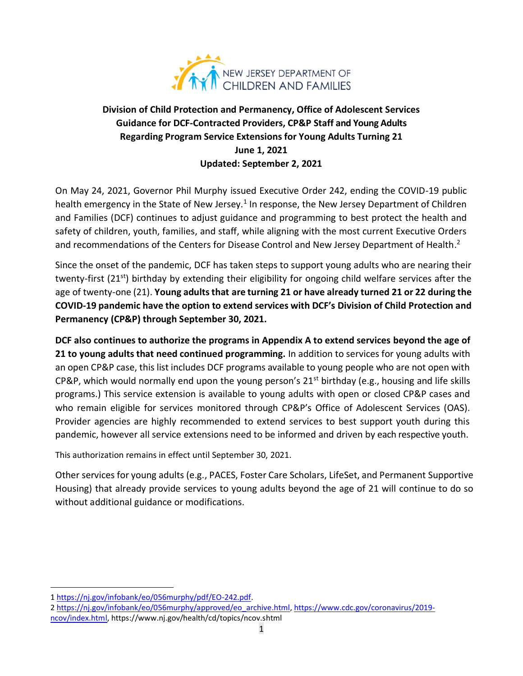

## **Division of Child Protection and Permanency, Office of Adolescent Services Guidance for DCF-Contracted Providers, CP&P Staff and Young Adults Regarding Program Service Extensions for Young Adults Turning 21 June 1, 2021 Updated: September 2, 2021**

On May 24, 2021, Governor Phil Murphy issued Executive Order 242, ending the COVID-19 public health emergency in the State of New Jersey.<sup>1</sup> In response, the New Jersey Department of Children and Families (DCF) continues to adjust guidance and programming to best protect the health and safety of children, youth, families, and staff, while aligning with the most current Executive Orders and recommendations of the Centers for Disease Control and New Jersey Department of Health.<sup>2</sup>

Since the onset of the pandemic, DCF has taken steps to support young adults who are nearing their twenty-first (21<sup>st</sup>) birthday by extending their eligibility for ongoing child welfare services after the age of twenty-one (21). **Young adults that are turning 21 or have already turned 21 or 22 during the COVID-19 pandemic have the option to extend services with DCF's Division of Child Protection and Permanency (CP&P) through September 30, 2021.**

**DCF also continues to authorize the programs in Appendix A to extend services beyond the age of 21 to young adults that need continued programming.** In addition to services for young adults with an open CP&P case, this list includes DCF programs available to young people who are not open with CP&P, which would normally end upon the young person's 21<sup>st</sup> birthday (e.g., housing and life skills programs.) This service extension is available to young adults with open or closed CP&P cases and who remain eligible for services monitored through CP&P's Office of Adolescent Services (OAS). Provider agencies are highly recommended to extend services to best support youth during this pandemic, however all service extensions need to be informed and driven by each respective youth.

This authorization remains in effect until September 30, 2021.

Other services for young adults (e.g., PACES, Foster Care Scholars, LifeSet, and Permanent Supportive Housing) that already provide services to young adults beyond the age of 21 will continue to do so without additional guidance or modifications.

<sup>1</sup> [https://nj.gov/infobank/eo/056murphy/pdf/EO-242.pdf.](https://nj.gov/infobank/eo/056murphy/pdf/EO-242.pdf)

<sup>2</sup> [https://nj.gov/infobank/eo/056murphy/approved/eo\\_archive.html,](https://nj.gov/infobank/eo/056murphy/approved/eo_archive.html) [https://www.cdc.gov/coronavirus/2019](https://www.cdc.gov/coronavirus/2019-ncov/index.html) [ncov/index.html,](https://www.cdc.gov/coronavirus/2019-ncov/index.html) https://www.nj.gov/health/cd/topics/ncov.shtml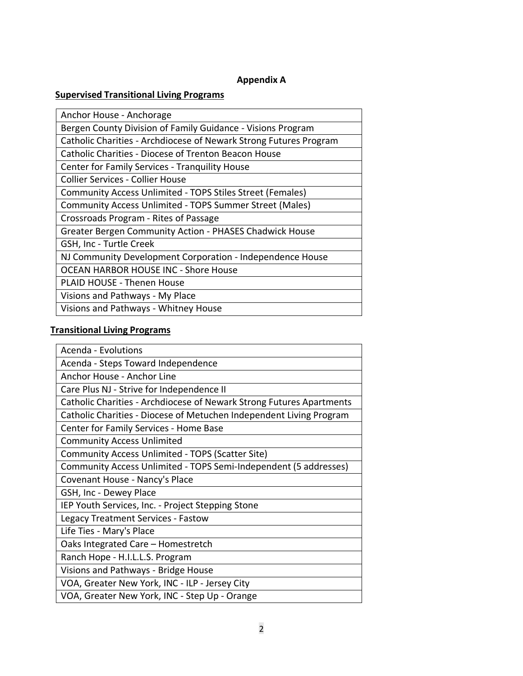#### **Appendix A**

### **Supervised Transitional Living Programs**

| Anchor House - Anchorage                                          |
|-------------------------------------------------------------------|
| Bergen County Division of Family Guidance - Visions Program       |
| Catholic Charities - Archdiocese of Newark Strong Futures Program |
| Catholic Charities - Diocese of Trenton Beacon House              |
| Center for Family Services - Tranquility House                    |
| Collier Services - Collier House                                  |
| Community Access Unlimited - TOPS Stiles Street (Females)         |
| Community Access Unlimited - TOPS Summer Street (Males)           |
| Crossroads Program - Rites of Passage                             |
| <b>Greater Bergen Community Action - PHASES Chadwick House</b>    |
| GSH, Inc - Turtle Creek                                           |
| NJ Community Development Corporation - Independence House         |
| <b>OCEAN HARBOR HOUSE INC - Shore House</b>                       |
| <b>PLAID HOUSE - Thenen House</b>                                 |
| Visions and Pathways - My Place                                   |
| Visions and Pathways - Whitney House                              |

# **Transitional Living Programs**

| Acenda - Evolutions                                                  |
|----------------------------------------------------------------------|
| Acenda - Steps Toward Independence                                   |
| Anchor House - Anchor Line                                           |
| Care Plus NJ - Strive for Independence II                            |
| Catholic Charities - Archdiocese of Newark Strong Futures Apartments |
| Catholic Charities - Diocese of Metuchen Independent Living Program  |
| Center for Family Services - Home Base                               |
| <b>Community Access Unlimited</b>                                    |
| Community Access Unlimited - TOPS (Scatter Site)                     |
| Community Access Unlimited - TOPS Semi-Independent (5 addresses)     |
| Covenant House - Nancy's Place                                       |
| GSH, Inc - Dewey Place                                               |
| IEP Youth Services, Inc. - Project Stepping Stone                    |
| Legacy Treatment Services - Fastow                                   |
| Life Ties - Mary's Place                                             |
| Oaks Integrated Care - Homestretch                                   |
| Ranch Hope - H.I.L.L.S. Program                                      |
| Visions and Pathways - Bridge House                                  |
| VOA, Greater New York, INC - ILP - Jersey City                       |
| VOA, Greater New York, INC - Step Up - Orange                        |